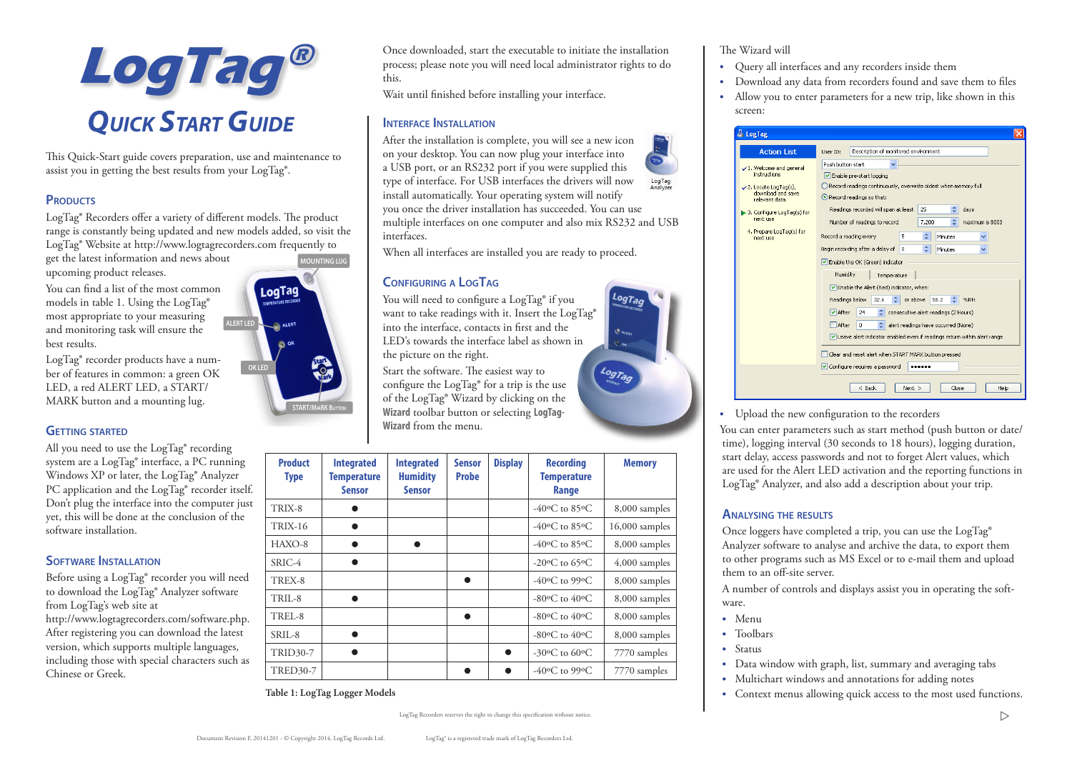

This Quick-Start guide covers preparation, use and maintenance to assist you in getting the best results from your LogTag®.

## **PRODUCTS**

LogTag® Recorders offer a variety of different models. The product range is constantly being updated and new models added, so visit the LogTag® Website at http://www.logtagrecorders.com frequently to

get the latest information and news about upcoming product releases.

You can find a list of the most common models in table 1. Using the LogTag**®** most appropriate to your measuring and monitoring task will ensure the best results.

LogTag® recorder products have a number of features in common: a green OK LED, a red ALERT LED, a START/ MARK button and a mounting lug.

## **GETTING STARTED**

All you need to use the LogTag® recording system are a LogTag® interface, a PC running Windows XP or later, the LogTag® Analyzer PC application and the LogTag® recorder itself. Don't plug the interface into the computer just yet, this will be done at the conclusion of the software installation.

## **Software Installation**

Before using a LogTag® recorder you will need to download the LogTag® Analyzer software from LogTag's web site at http://www.logtagrecorders.com/software.php. After registering you can download the latest version, which supports multiple languages, including those with special characters such as Chinese or Greek.

**MOUNTING LUG**LogTag **ALERT LED** ALERT **OK LED START/MARK Button**

Once downloaded, start the executable to initiate the installation process; please note you will need local administrator rights to do this.

Wait until finished before installing your interface.

## **Interface Installation**

After the installation is complete, you will see a new icon on your desktop. You can now plug your interface into a USB port, or an RS232 port if you were supplied this type of interface. For USB interfaces the drivers will now LogTag<br>Analyzer install automatically. Your operating system will notify you once the driver installation has succeeded. You can use multiple interfaces on one computer and also mix RS232 and USB interfaces.

When all interfaces are installed you are ready to proceed.

## **Configuring a LogTag**

You will need to configure a LogTag**®** if you want to take readings with it. Insert the LogTag**®** into the interface, contacts in first and the LED's towards the interface label as shown in the picture on the right.

Start the software. The easiest way to configure the LogTag**®** for a trip is the use of the LogTag**®** Wizard by clicking on the **Wizard** toolbar button or selecting **LogTag-Wizard** from the menu.

| <b>Product</b><br><b>Type</b> | <b>Integrated</b><br><b>Temperature</b><br><b>Sensor</b> | <b>Integrated</b><br><b>Humidity</b><br><b>Sensor</b> | <b>Sensor</b><br><b>Probe</b> | <b>Display</b> | <b>Recording</b><br><b>Temperature</b><br>Range        | <b>Memory</b>    |
|-------------------------------|----------------------------------------------------------|-------------------------------------------------------|-------------------------------|----------------|--------------------------------------------------------|------------------|
| TRIX-8                        |                                                          |                                                       |                               |                | -40 $\rm{^{\circ}C}$ to 85 $\rm{^{\circ}C}$            | 8,000 samples    |
| <b>TRIX-16</b>                |                                                          |                                                       |                               |                | -40 $\rm{^{\circ}C}$ to 85 $\rm{^{\circ}C}$            | $16,000$ samples |
| $HAXO-8$                      |                                                          |                                                       |                               |                | -40 $\rm{^{\circ}C}$ to 85 $\rm{^{\circ}C}$            | 8,000 samples    |
| SRIC-4                        |                                                          |                                                       |                               |                | -20 $\rm{^{\circ}C}$ to 65 $\rm{^{\circ}C}$            | $4,000$ samples  |
| TREX-8                        |                                                          |                                                       |                               |                | -40 $\rm ^{6}$ C to 99 $\rm ^{6}$ C                    | 8,000 samples    |
| TRIL-8                        |                                                          |                                                       |                               |                | $-80$ <sup>o</sup> C <sub>to</sub> $40$ <sup>o</sup> C | 8,000 samples    |
| TREL-8                        |                                                          |                                                       |                               |                | $-80$ <sup>o</sup> C <sub>to</sub> $40$ <sup>o</sup> C | 8,000 samples    |
| $SRII - 8$                    |                                                          |                                                       |                               |                | $-80$ <sup>o</sup> C <sub>to</sub> $40$ <sup>o</sup> C | 8,000 samples    |
| <b>TRID30-7</b>               |                                                          |                                                       |                               |                | -30 $\rm{^{\circ}C}$ to 60 $\rm{^{\circ}C}$            | 7770 samples     |
| <b>TRED30-7</b>               |                                                          |                                                       |                               |                | -40 $\rm{^{\circ}C}$ to 99 $\rm{^{\circ}C}$            | 7770 samples     |

**Table 1: LogTag Logger Models**



#### The Wizard will

- **•** Query all interfaces and any recorders inside them
- **•** Download any data from recorders found and save them to files
- **•** Allow you to enter parameters for a new trip, like shown in this screen:

| LogTag                                                                                                                                                                                                 |                                                                                                                                                                                                                                                                                                                                                                                                                                                         |  |  |  |  |
|--------------------------------------------------------------------------------------------------------------------------------------------------------------------------------------------------------|---------------------------------------------------------------------------------------------------------------------------------------------------------------------------------------------------------------------------------------------------------------------------------------------------------------------------------------------------------------------------------------------------------------------------------------------------------|--|--|--|--|
| <b>Action List</b>                                                                                                                                                                                     | Description of monitored environment<br>Liser ID:                                                                                                                                                                                                                                                                                                                                                                                                       |  |  |  |  |
| √1. Welcome and general<br>instructions<br>$\checkmark$ 2. Locate LogTag(s),<br>download and save.<br>relevant data<br>3. Configure LogTag(s) for<br>next use<br>4. Prepare LogTag(s) for<br>next use. | Push button start<br>Enable pre-start logging<br>Record readings continuously, overwrite oldest when memory full<br>Record readings so that:<br>٥<br>Readings recorded will span at least<br>25<br>days<br>¢<br>Number of readings to record<br>7,200<br>maximum is 8003<br>¢<br>Record a reading every<br>5<br>Minutes<br>٠<br>Begin recording after a delay of<br>$^{\circ}$<br>Minutes<br>Enable the OK (Green) indicator<br>Humidity<br>Temperature |  |  |  |  |
|                                                                                                                                                                                                        | Enable the Alert (Red) indicator, when:<br>٠<br>Readings below<br>or above<br>58.2<br>%RH.<br>32.6<br>٠<br>$\triangledown$ After<br>consecutive alert readings (2 Hours)<br>24<br>$\Box$ After<br>alert readings have occurred (None)<br>$\Omega$<br>Leave alert indicator enabled even if readings return within alert range<br>Clear and reset alert when START MARK button pressed<br>Configure requires a password                                  |  |  |  |  |
|                                                                                                                                                                                                        | Close<br>< Back<br>$Next$ ><br>Help                                                                                                                                                                                                                                                                                                                                                                                                                     |  |  |  |  |

**•** Upload the new configuration to the recorders

You can enter parameters such as start method (push button or date/ time), logging interval (30 seconds to 18 hours), logging duration, start delay, access passwords and not to forget Alert values, which are used for the Alert LED activation and the reporting functions in LogTag**®** Analyzer, and also add a description about your trip.

## **Analysing the results**

Once loggers have completed a trip, you can use the LogTag**®** Analyzer software to analyse and archive the data, to export them to other programs such as MS Excel or to e-mail them and upload them to an off-site server.

A number of controls and displays assist you in operating the software.

- **•** Menu
- **•** Toolbars
- **•** Status
- **•** Data window with graph, list, summary and averaging tabs
- **•** Multichart windows and annotations for adding notes
- **•** Context menus allowing quick access to the most used functions.